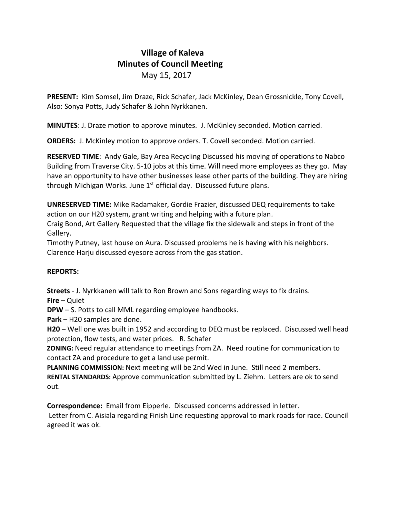## **Village of Kaleva Minutes of Council Meeting** May 15, 2017

**PRESENT:** Kim Somsel, Jim Draze, Rick Schafer, Jack McKinley, Dean Grossnickle, Tony Covell, Also: Sonya Potts, Judy Schafer & John Nyrkkanen.

**MINUTES**: J. Draze motion to approve minutes. J. McKinley seconded. Motion carried.

**ORDERS:** J. McKinley motion to approve orders. T. Covell seconded. Motion carried.

**RESERVED TIME**: Andy Gale, Bay Area Recycling Discussed his moving of operations to Nabco Building from Traverse City. 5-10 jobs at this time. Will need more employees as they go. May have an opportunity to have other businesses lease other parts of the building. They are hiring through Michigan Works. June  $1<sup>st</sup>$  official day. Discussed future plans.

**UNRESERVED TIME:** Mike Radamaker, Gordie Frazier, discussed DEQ requirements to take action on our H20 system, grant writing and helping with a future plan.

Craig Bond, Art Gallery Requested that the village fix the sidewalk and steps in front of the Gallery.

Timothy Putney, last house on Aura. Discussed problems he is having with his neighbors. Clarence Harju discussed eyesore across from the gas station.

## **REPORTS:**

**Streets** - J. Nyrkkanen will talk to Ron Brown and Sons regarding ways to fix drains.

**Fire** – Quiet

**DPW** – S. Potts to call MML regarding employee handbooks.

**Park** – H20 samples are done.

**H20** – Well one was built in 1952 and according to DEQ must be replaced. Discussed well head protection, flow tests, and water prices. R. Schafer

**ZONING:** Need regular attendance to meetings from ZA. Need routine for communication to contact ZA and procedure to get a land use permit.

**PLANNING COMMISSION:** Next meeting will be 2nd Wed in June. Still need 2 members. **RENTAL STANDARDS:** Approve communication submitted by L. Ziehm. Letters are ok to send out.

**Correspondence:** Email from Eipperle. Discussed concerns addressed in letter.

Letter from C. Aisiala regarding Finish Line requesting approval to mark roads for race. Council agreed it was ok.